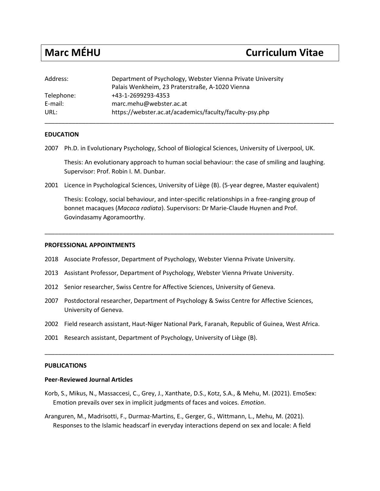# **Marc MÉHU Curriculum Vitae**

| Address:   | Department of Psychology, Webster Vienna Private University<br>Palais Wenkheim, 23 Praterstraße, A-1020 Vienna |
|------------|----------------------------------------------------------------------------------------------------------------|
| Telephone: | +43-1-2699293-4353                                                                                             |
| E-mail:    | marc.mehu@webster.ac.at                                                                                        |
| URL:       | https://webster.ac.at/academics/faculty/faculty-psy.php                                                        |

# **EDUCATION**

2007 Ph.D. in Evolutionary Psychology, School of Biological Sciences, University of Liverpool, UK.

Thesis: An evolutionary approach to human social behaviour: the case of smiling and laughing. Supervisor: Prof. Robin I. M. Dunbar.

2001 Licence in Psychological Sciences, University of Liège (B). (5-year degree, Master equivalent)

Thesis: Ecology, social behaviour, and inter-specific relationships in a free-ranging group of bonnet macaques (*Macaca radiata*). Supervisors: Dr Marie-Claude Huynen and Prof. Govindasamy Agoramoorthy.

\_\_\_\_\_\_\_\_\_\_\_\_\_\_\_\_\_\_\_\_\_\_\_\_\_\_\_\_\_\_\_\_\_\_\_\_\_\_\_\_\_\_\_\_\_\_\_\_\_\_\_\_\_\_\_\_\_\_\_\_\_\_\_\_\_\_\_\_\_\_\_\_\_\_\_\_\_\_\_\_\_\_\_\_\_

## **PROFESSIONAL APPOINTMENTS**

- 2018 Associate Professor, Department of Psychology, Webster Vienna Private University.
- 2013 Assistant Professor, Department of Psychology, Webster Vienna Private University.
- 2012 Senior researcher, Swiss Centre for Affective Sciences, University of Geneva.
- 2007 Postdoctoral researcher, Department of Psychology & Swiss Centre for Affective Sciences, University of Geneva.
- 2002 Field research assistant, Haut-Niger National Park, Faranah, Republic of Guinea, West Africa.

\_\_\_\_\_\_\_\_\_\_\_\_\_\_\_\_\_\_\_\_\_\_\_\_\_\_\_\_\_\_\_\_\_\_\_\_\_\_\_\_\_\_\_\_\_\_\_\_\_\_\_\_\_\_\_\_\_\_\_\_\_\_\_\_\_\_\_\_\_\_\_\_\_\_\_\_\_\_\_\_\_\_\_\_\_

2001 Research assistant, Department of Psychology, University of Liège (B).

### **PUBLICATIONS**

# **Peer-Reviewed Journal Articles**

- Korb, S., Mikus, N., Massaccesi, C., Grey, J., Xanthate, D.S., Kotz, S.A., & Mehu, M. (2021). EmoSex: Emotion prevails over sex in implicit judgments of faces and voices. *Emotion*.
- Aranguren, M., Madrisotti, F., Durmaz-Martins, E., Gerger, G., Wittmann, L., Mehu, M. (2021). Responses to the Islamic headscarf in everyday interactions depend on sex and locale: A field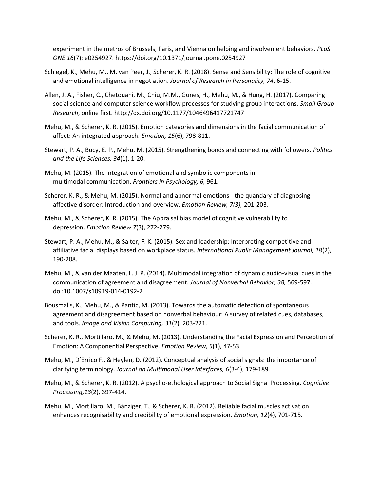experiment in the metros of Brussels, Paris, and Vienna on helping and involvement behaviors. *PLoS ONE 16*(7): e0254927. https://doi.org/10.1371/journal.pone.0254927

- Schlegel, K., Mehu, M., M. van Peer, J., Scherer, K. R. (2018). Sense and Sensibility: The role of cognitive and emotional intelligence in negotiation. *Journal of Research in Personality, 74*, 6-15.
- Allen, J. A., Fisher, C., Chetouani, M., Chiu, M.M., Gunes, H., Mehu, M., & Hung, H. (2017). Comparing social science and computer science workflow processes for studying group interactions. *Small Group Research*, online first. http://dx.doi.org/10.1177/1046496417721747
- Mehu, M., & Scherer, K. R. (2015). Emotion categories and dimensions in the facial communication of affect: An integrated approach. *Emotion, 15*(6), 798-811.
- Stewart, P. A., Bucy, E. P., Mehu, M. (2015). Strengthening bonds and connecting with followers. *Politics and the Life Sciences, 34*(1), 1-20.
- Mehu, M. (2015). The integration of emotional and symbolic components in multimodal communication. *Frontiers in Psychology, 6,* 961.
- Scherer, K. R., & Mehu, M. (2015). Normal and abnormal emotions the quandary of diagnosing affective disorder: Introduction and overview. *Emotion Review, 7(3),* 201-203*.*
- Mehu, M., & Scherer, K. R. (2015). The Appraisal bias model of cognitive vulnerability to depression. *Emotion Review 7*(3), 272-279.
- Stewart, P. A., Mehu, M., & Salter, F. K. (2015). Sex and leadership: Interpreting competitive and affiliative facial displays based on workplace status. *International Public Management Journal, 18*(2), 190-208.
- Mehu, M., & van der Maaten, L. J. P. (2014). Multimodal integration of dynamic audio-visual cues in the communication of agreement and disagreement. *Journal of Nonverbal Behavior, 38,* 569-597. doi:10.1007/s10919-014-0192-2
- Bousmalis, K., Mehu, M., & Pantic, M. (2013). Towards the automatic detection of spontaneous agreement and disagreement based on nonverbal behaviour: A survey of related cues, databases, and tools. *Image and Vision Computing, 31*(2), 203-221.
- Scherer, K. R., Mortillaro, M., & Mehu, M. (2013). Understanding the Facial Expression and Perception of Emotion: A Componential Perspective. *Emotion Review, 5*(1), 47-53.
- Mehu, M., D'Errico F., & Heylen, D. (2012). Conceptual analysis of social signals: the importance of clarifying terminology. *Journal on Multimodal User Interfaces, 6*(3-4), 179-189.
- Mehu, M., & Scherer, K. R. (2012). A psycho-ethological approach to Social Signal Processing. *Cognitive Processing,13*(2), 397-414.
- Mehu, M., Mortillaro, M., Bänziger, T., & Scherer, K. R. (2012). Reliable facial muscles activation enhances recognisability and credibility of emotional expression. *Emotion, 12*(4), 701-715.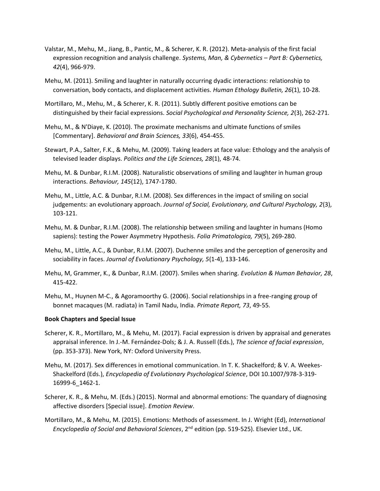- Valstar, M., Mehu, M., Jiang, B., Pantic, M., & Scherer, K. R. (2012). Meta-analysis of the first facial expression recognition and analysis challenge. *Systems, Man, & Cybernetics – Part B: Cybernetics, 42*(4), 966-979.
- Mehu, M. (2011). Smiling and laughter in naturally occurring dyadic interactions: relationship to conversation, body contacts, and displacement activities. *Human Ethology Bulletin, 26*(1), 10-28.
- Mortillaro, M., Mehu, M., & Scherer, K. R. (2011). Subtly different positive emotions can be distinguished by their facial expressions. *Social Psychological and Personality Science, 2*(3), 262-271.
- Mehu, M., & N'Diaye, K. (2010). The proximate mechanisms and ultimate functions of smiles [Commentary]. *Behavioral and Brain Sciences, 33*(6), 454-455.
- Stewart, P.A., Salter, F.K., & Mehu, M. (2009). Taking leaders at face value: Ethology and the analysis of televised leader displays. *Politics and the Life Sciences, 28*(1), 48-74.
- Mehu, M. & Dunbar, R.I.M. (2008). Naturalistic observations of smiling and laughter in human group interactions. *Behaviour, 145*(12), 1747-1780.
- Mehu, M., Little, A.C. & Dunbar, R.I.M. (2008). Sex differences in the impact of smiling on social judgements: an evolutionary approach. *Journal of Social, Evolutionary, and Cultural Psychology, 2*(3), 103-121.
- Mehu, M. & Dunbar, R.I.M. (2008). The relationship between smiling and laughter in humans (Homo sapiens): testing the Power Asymmetry Hypothesis. *Folia Primatologica, 79*(5), 269-280.
- Mehu, M., Little, A.C., & Dunbar, R.I.M. (2007). Duchenne smiles and the perception of generosity and sociability in faces. *Journal of Evolutionary Psychology, 5*(1-4), 133-146.
- Mehu, M, Grammer, K., & Dunbar, R.I.M. (2007). Smiles when sharing. *Evolution & Human Behavior, 28*, 415-422.
- Mehu, M., Huynen M-C., & Agoramoorthy G. (2006). Social relationships in a free-ranging group of bonnet macaques (M. radiata) in Tamil Nadu, India. *Primate Report, 73*, 49-55.

# **Book Chapters and Special Issue**

- Scherer, K. R., Mortillaro, M., & Mehu, M. (2017). Facial expression is driven by appraisal and generates appraisal inference. In J.-M. Fernández-Dols; & J. A. Russell (Eds.), *The science of facial expression*, (pp. 353-373). New York, NY: Oxford University Press.
- Mehu, M. (2017). Sex differences in emotional communication. In T. K. Shackelford; & V. A. Weekes-Shackelford (Eds.), *Encyclopedia of Evolutionary Psychological Science*, DOI 10.1007/978-3-319- 16999-6\_1462-1.
- Scherer, K. R., & Mehu, M. (Eds.) (2015). Normal and abnormal emotions: The quandary of diagnosing affective disorders [Special issue]. *Emotion Review*.
- Mortillaro, M., & Mehu, M. (2015). Emotions: Methods of assessment. In J. Wright (Ed), *International Encyclopedia of Social and Behavioral Sciences*, 2nd edition (pp. 519-525). Elsevier Ltd., UK.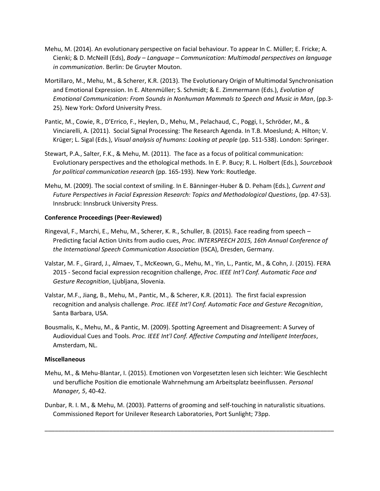- Mehu, M. (2014). An evolutionary perspective on facial behaviour. To appear In C. Müller; E. Fricke; A. Cienki; & D. McNeill (Eds), *Body – Language – Communication: Multimodal perspectives on language in communication*. Berlin: De Gruyter Mouton.
- Mortillaro, M., Mehu, M., & Scherer, K.R. (2013). The Evolutionary Origin of Multimodal Synchronisation and Emotional Expression. In E. Altenmüller; S. Schmidt; & E. Zimmermann (Eds.), *Evolution of Emotional Communication: From Sounds in Nonhuman Mammals to Speech and Music in Man*, (pp.3- 25). New York: Oxford University Press.
- Pantic, M., Cowie, R., D'Errico, F., Heylen, D., Mehu, M., Pelachaud, C., Poggi, I., Schröder, M., & Vinciarelli, A. (2011). Social Signal Processing: The Research Agenda. In T.B. Moeslund; A. Hilton; V. Krüger; L. Sigal (Eds.), *Visual analysis of humans: Looking at people* (pp. 511-538). London: Springer.
- Stewart, P.A., Salter, F.K., & Mehu, M. (2011). The face as a focus of political communication: Evolutionary perspectives and the ethological methods. In E. P. Bucy; R. L. Holbert (Eds.), *Sourcebook for political communication research* (pp. 165-193). New York: Routledge.
- Mehu, M. (2009). The social context of smiling. In E. Bänninger-Huber & D. Peham (Eds.), *Current and Future Perspectives in Facial Expression Research: Topics and Methodological Questions*, (pp. 47-53). Innsbruck: Innsbruck University Press.

# **Conference Proceedings (Peer-Reviewed)**

- Ringeval, F., Marchi, E., Mehu, M., Scherer, K. R., Schuller, B. (2015). Face reading from speech Predicting facial Action Units from audio cues, *Proc. INTERSPEECH 2015, 16th Annual Conference of the International Speech Communication Association* (ISCA), Dresden, Germany.
- Valstar, M. F., Girard, J., Almaev, T., McKeown, G., Mehu, M., Yin, L., Pantic, M., & Cohn, J. (2015). FERA 2015 - Second facial expression recognition challenge, *Proc. IEEE Int'l Conf. Automatic Face and Gesture Recognition*, Ljubljana, Slovenia.
- Valstar, M.F., Jiang, B., Mehu, M., Pantic, M., & Scherer, K.R. (2011). The first facial expression recognition and analysis challenge. *Proc. IEEE Int'l Conf. Automatic Face and Gesture Recognition*, Santa Barbara, USA.
- Bousmalis, K., Mehu, M., & Pantic, M. (2009). Spotting Agreement and Disagreement: A Survey of Audiovidual Cues and Tools. *Proc. IEEE Int'l Conf. Affective Computing and Intelligent Interfaces*, Amsterdam, NL.

# **Miscellaneous**

- Mehu, M., & Mehu-Blantar, I. (2015). Emotionen von Vorgesetzten lesen sich leichter: Wie Geschlecht und berufliche Position die emotionale Wahrnehmung am Arbeitsplatz beeinflussen. *Personal Manager, 5*, 40-42.
- Dunbar, R. I. M., & Mehu, M. (2003). Patterns of grooming and self-touching in naturalistic situations. Commissioned Report for Unilever Research Laboratories, Port Sunlight; 73pp.

\_\_\_\_\_\_\_\_\_\_\_\_\_\_\_\_\_\_\_\_\_\_\_\_\_\_\_\_\_\_\_\_\_\_\_\_\_\_\_\_\_\_\_\_\_\_\_\_\_\_\_\_\_\_\_\_\_\_\_\_\_\_\_\_\_\_\_\_\_\_\_\_\_\_\_\_\_\_\_\_\_\_\_\_\_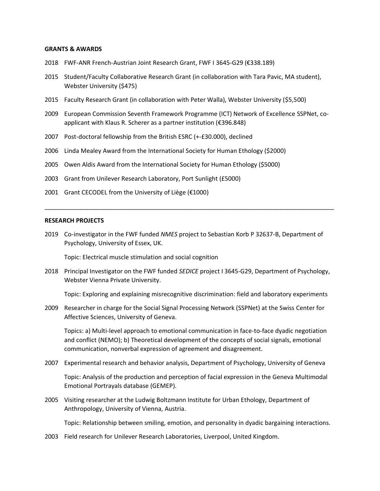#### **GRANTS & AWARDS**

- 2018 FWF-ANR French-Austrian Joint Research Grant, FWF I 3645-G29 (€338.189)
- 2015 Student/Faculty Collaborative Research Grant (in collaboration with Tara Pavic, MA student), Webster University (\$475)
- 2015 Faculty Research Grant (in collaboration with Peter Walla), Webster University (\$5,500)
- 2009 European Commission Seventh Framework Programme (ICT) Network of Excellence SSPNet, coapplicant with Klaus R. Scherer as a partner institution (€396.848)
- 2007 Post-doctoral fellowship from the British ESRC (+-£30.000), declined
- 2006 Linda Mealey Award from the International Society for Human Ethology (\$2000)
- 2005 Owen Aldis Award from the International Society for Human Ethology (\$5000)
- 2003 Grant from Unilever Research Laboratory, Port Sunlight (£5000)
- 2001 Grant CECODEL from the University of Liège ( $\epsilon$ 1000)

#### **RESEARCH PROJECTS**

2019 Co-investigator in the FWF funded *NMES* project to Sebastian Korb P 32637-B, Department of Psychology, University of Essex, UK.

\_\_\_\_\_\_\_\_\_\_\_\_\_\_\_\_\_\_\_\_\_\_\_\_\_\_\_\_\_\_\_\_\_\_\_\_\_\_\_\_\_\_\_\_\_\_\_\_\_\_\_\_\_\_\_\_\_\_\_\_\_\_\_\_\_\_\_\_\_\_\_\_\_\_\_\_\_\_\_\_\_\_\_\_\_

Topic: Electrical muscle stimulation and social cognition

2018 Principal Investigator on the FWF funded *SEDICE* project I 3645-G29, Department of Psychology, Webster Vienna Private University.

Topic: Exploring and explaining misrecognitive discrimination: field and laboratory experiments

2009 Researcher in charge for the Social Signal Processing Network (SSPNet) at the Swiss Center for Affective Sciences, University of Geneva.

Topics: a) Multi-level approach to emotional communication in face-to-face dyadic negotiation and conflict (NEMO); b) Theoretical development of the concepts of social signals, emotional communication, nonverbal expression of agreement and disagreement.

2007 Experimental research and behavior analysis, Department of Psychology, University of Geneva

Topic: Analysis of the production and perception of facial expression in the Geneva Multimodal Emotional Portrayals database (GEMEP).

2005 Visiting researcher at the Ludwig Boltzmann Institute for Urban Ethology, Department of Anthropology, University of Vienna, Austria.

Topic: Relationship between smiling, emotion, and personality in dyadic bargaining interactions.

2003 Field research for Unilever Research Laboratories, Liverpool, United Kingdom.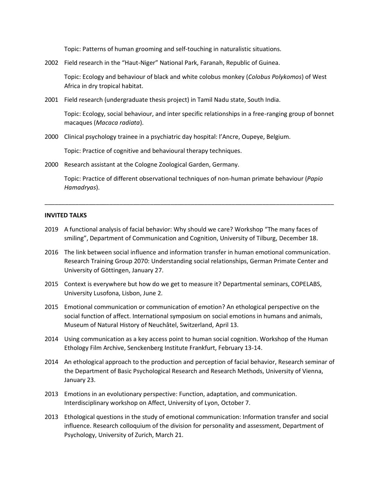Topic: Patterns of human grooming and self-touching in naturalistic situations.

2002 Field research in the "Haut-Niger" National Park, Faranah, Republic of Guinea.

Topic: Ecology and behaviour of black and white colobus monkey (*Colobus Polykomos*) of West Africa in dry tropical habitat.

2001 Field research (undergraduate thesis project) in Tamil Nadu state, South India.

Topic: Ecology, social behaviour, and inter specific relationships in a free-ranging group of bonnet macaques (*Macaca radiata*).

2000 Clinical psychology trainee in a psychiatric day hospital: l'Ancre, Oupeye, Belgium.

Topic: Practice of cognitive and behavioural therapy techniques.

2000 Research assistant at the Cologne Zoological Garden, Germany.

Topic: Practice of different observational techniques of non-human primate behaviour (*Papio Hamadryas*).

\_\_\_\_\_\_\_\_\_\_\_\_\_\_\_\_\_\_\_\_\_\_\_\_\_\_\_\_\_\_\_\_\_\_\_\_\_\_\_\_\_\_\_\_\_\_\_\_\_\_\_\_\_\_\_\_\_\_\_\_\_\_\_\_\_\_\_\_\_\_\_\_\_\_\_\_\_\_\_\_\_\_\_\_\_

# **INVITED TALKS**

- 2019 A functional analysis of facial behavior: Why should we care? Workshop "The many faces of smiling", Department of Communication and Cognition, University of Tilburg, December 18.
- 2016 The link between social influence and information transfer in human emotional communication. Research Training Group 2070: Understanding social relationships, German Primate Center and University of Göttingen, January 27.
- 2015 Context is everywhere but how do we get to measure it? Departmental seminars, COPELABS, University Lusofona, Lisbon, June 2.
- 2015 Emotional communication or communication of emotion? An ethological perspective on the social function of affect. International symposium on social emotions in humans and animals, Museum of Natural History of Neuchâtel, Switzerland, April 13.
- 2014 Using communication as a key access point to human social cognition. Workshop of the Human Ethology Film Archive, Senckenberg Institute Frankfurt, February 13-14.
- 2014 An ethological approach to the production and perception of facial behavior, Research seminar of the Department of Basic Psychological Research and Research Methods, University of Vienna, January 23.
- 2013 Emotions in an evolutionary perspective: Function, adaptation, and communication. Interdisciplinary workshop on Affect, University of Lyon, October 7.
- 2013 Ethological questions in the study of emotional communication: Information transfer and social influence. Research colloquium of the division for personality and assessment, Department of Psychology, University of Zurich, March 21.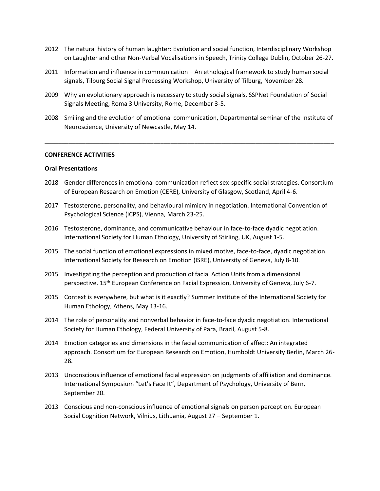- 2012 The natural history of human laughter: Evolution and social function, Interdisciplinary Workshop on Laughter and other Non-Verbal Vocalisations in Speech, Trinity College Dublin, October 26-27.
- 2011 Information and influence in communication An ethological framework to study human social signals, Tilburg Social Signal Processing Workshop, University of Tilburg, November 28.
- 2009 Why an evolutionary approach is necessary to study social signals, SSPNet Foundation of Social Signals Meeting, Roma 3 University, Rome, December 3-5.
- 2008 Smiling and the evolution of emotional communication, Departmental seminar of the Institute of Neuroscience, University of Newcastle, May 14.

\_\_\_\_\_\_\_\_\_\_\_\_\_\_\_\_\_\_\_\_\_\_\_\_\_\_\_\_\_\_\_\_\_\_\_\_\_\_\_\_\_\_\_\_\_\_\_\_\_\_\_\_\_\_\_\_\_\_\_\_\_\_\_\_\_\_\_\_\_\_\_\_\_\_\_\_\_\_\_\_\_\_\_\_\_

### **CONFERENCE ACTIVITIES**

#### **Oral Presentations**

- 2018 Gender differences in emotional communication reflect sex-specific social strategies. Consortium of European Research on Emotion (CERE), University of Glasgow, Scotland, April 4-6.
- 2017 Testosterone, personality, and behavioural mimicry in negotiation. International Convention of Psychological Science (ICPS), Vienna, March 23-25.
- 2016 Testosterone, dominance, and communicative behaviour in face-to-face dyadic negotiation. International Society for Human Ethology, University of Stirling, UK, August 1-5.
- 2015 The social function of emotional expressions in mixed motive, face-to-face, dyadic negotiation. International Society for Research on Emotion (ISRE), University of Geneva, July 8-10.
- 2015 Investigating the perception and production of facial Action Units from a dimensional perspective. 15<sup>th</sup> European Conference on Facial Expression, University of Geneva, July 6-7.
- 2015 Context is everywhere, but what is it exactly? Summer Institute of the International Society for Human Ethology, Athens, May 13-16.
- 2014 The role of personality and nonverbal behavior in face-to-face dyadic negotiation. International Society for Human Ethology, Federal University of Para, Brazil, August 5-8.
- 2014 Emotion categories and dimensions in the facial communication of affect: An integrated approach. Consortium for European Research on Emotion, Humboldt University Berlin, March 26- 28.
- 2013 Unconscious influence of emotional facial expression on judgments of affiliation and dominance. International Symposium "Let's Face It", Department of Psychology, University of Bern, September 20.
- 2013 Conscious and non-conscious influence of emotional signals on person perception. European Social Cognition Network, Vilnius, Lithuania, August 27 – September 1.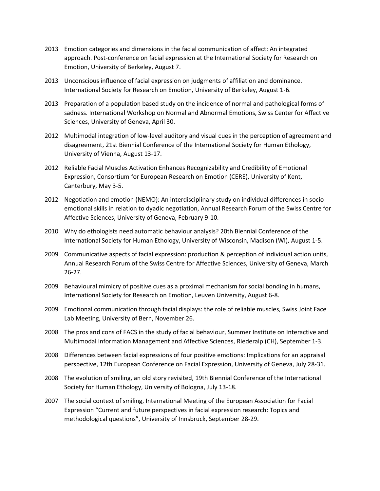- 2013 Emotion categories and dimensions in the facial communication of affect: An integrated approach. Post-conference on facial expression at the International Society for Research on Emotion, University of Berkeley, August 7.
- 2013 Unconscious influence of facial expression on judgments of affiliation and dominance. International Society for Research on Emotion, University of Berkeley, August 1-6.
- 2013 Preparation of a population based study on the incidence of normal and pathological forms of sadness. International Workshop on Normal and Abnormal Emotions, Swiss Center for Affective Sciences, University of Geneva, April 30.
- 2012 Multimodal integration of low-level auditory and visual cues in the perception of agreement and disagreement, 21st Biennial Conference of the International Society for Human Ethology, University of Vienna, August 13-17.
- 2012 Reliable Facial Muscles Activation Enhances Recognizability and Credibility of Emotional Expression, Consortium for European Research on Emotion (CERE), University of Kent, Canterbury, May 3-5.
- 2012 Negotiation and emotion (NEMO): An interdisciplinary study on individual differences in socioemotional skills in relation to dyadic negotiation, Annual Research Forum of the Swiss Centre for Affective Sciences, University of Geneva, February 9-10.
- 2010 Why do ethologists need automatic behaviour analysis? 20th Biennial Conference of the International Society for Human Ethology, University of Wisconsin, Madison (WI), August 1-5.
- 2009 Communicative aspects of facial expression: production & perception of individual action units, Annual Research Forum of the Swiss Centre for Affective Sciences, University of Geneva, March 26-27.
- 2009 Behavioural mimicry of positive cues as a proximal mechanism for social bonding in humans, International Society for Research on Emotion, Leuven University, August 6-8.
- 2009 Emotional communication through facial displays: the role of reliable muscles, Swiss Joint Face Lab Meeting, University of Bern, November 26.
- 2008 The pros and cons of FACS in the study of facial behaviour, Summer Institute on Interactive and Multimodal Information Management and Affective Sciences, Riederalp (CH), September 1-3.
- 2008 Differences between facial expressions of four positive emotions: Implications for an appraisal perspective, 12th European Conference on Facial Expression, University of Geneva, July 28-31.
- 2008 The evolution of smiling, an old story revisited, 19th Biennial Conference of the International Society for Human Ethology, University of Bologna, July 13-18.
- 2007 The social context of smiling, International Meeting of the European Association for Facial Expression "Current and future perspectives in facial expression research: Topics and methodological questions", University of Innsbruck, September 28-29.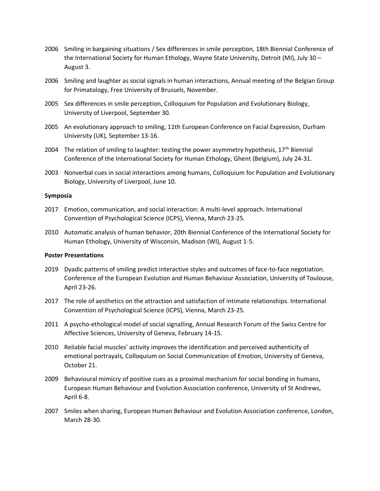- 2006 Smiling in bargaining situations / Sex differences in smile perception, 18th Biennial Conference of the International Society for Human Ethology, Wayne State University, Detroit (MI), July 30 – August 3.
- 2006 Smiling and laughter as social signals in human interactions, Annual meeting of the Belgian Group for Primatology, Free University of Brussels, November.
- 2005 Sex differences in smile perception, Colloquium for Population and Evolutionary Biology, University of Liverpool, September 30.
- 2005 An evolutionary approach to smiling, 11th European Conference on Facial Expression, Durham University (UK), September 13-16.
- 2004 The relation of smiling to laughter: testing the power asymmetry hypothesis,  $17<sup>th</sup>$  Biennial Conference of the International Society for Human Ethology, Ghent (Belgium), July 24-31.
- 2003 Nonverbal cues in social interactions among humans, Colloquium for Population and Evolutionary Biology, University of Liverpool, June 10.

# **Symposia**

- 2017 Emotion, communication, and social interaction: A multi-level approach. International Convention of Psychological Science (ICPS), Vienna, March 23-25.
- 2010 Automatic analysis of human behavior, 20th Biennial Conference of the International Society for Human Ethology, University of Wisconsin, Madison (WI), August 1-5.

# **Poster Presentations**

- 2019 Dyadic patterns of smiling predict interactive styles and outcomes of face-to-face negotiation. Conference of the European Evolution and Human Behaviour Association, University of Toulouse, April 23-26.
- 2017 The role of aesthetics on the attraction and satisfaction of intimate relationships. International Convention of Psychological Science (ICPS), Vienna, March 23-25.
- 2011 A psycho-ethological model of social signalling, Annual Research Forum of the Swiss Centre for Affective Sciences, University of Geneva, February 14-15.
- 2010 Reliable facial muscles' activity improves the identification and perceived authenticity of emotional portrayals, Colloquium on Social Communication of Emotion, University of Geneva, October 21.
- 2009 Behavioural mimicry of positive cues as a proximal mechanism for social bonding in humans, European Human Behaviour and Evolution Association conference, University of St Andrews, April 6-8.
- 2007 Smiles when sharing, European Human Behaviour and Evolution Association conference, London, March 28-30.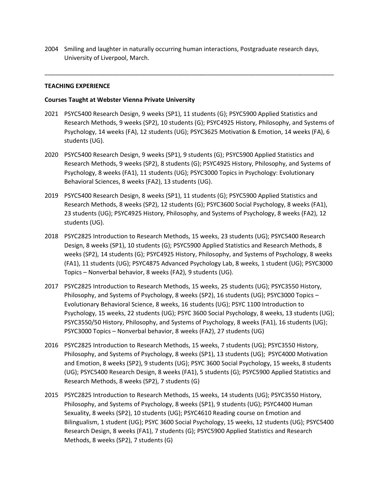2004 Smiling and laughter in naturally occurring human interactions, Postgraduate research days, University of Liverpool, March.

\_\_\_\_\_\_\_\_\_\_\_\_\_\_\_\_\_\_\_\_\_\_\_\_\_\_\_\_\_\_\_\_\_\_\_\_\_\_\_\_\_\_\_\_\_\_\_\_\_\_\_\_\_\_\_\_\_\_\_\_\_\_\_\_\_\_\_\_\_\_\_\_\_\_\_\_\_\_\_\_\_\_\_\_\_

# **TEACHING EXPERIENCE**

# **Courses Taught at Webster Vienna Private University**

- 2021 PSYC5400 Research Design, 9 weeks (SP1), 11 students (G); PSYC5900 Applied Statistics and Research Methods, 9 weeks (SP2), 10 students (G); PSYC4925 History, Philosophy, and Systems of Psychology, 14 weeks (FA), 12 students (UG); PSYC3625 Motivation & Emotion, 14 weeks (FA), 6 students (UG).
- 2020 PSYC5400 Research Design, 9 weeks (SP1), 9 students (G); PSYC5900 Applied Statistics and Research Methods, 9 weeks (SP2), 8 students (G); PSYC4925 History, Philosophy, and Systems of Psychology, 8 weeks (FA1), 11 students (UG); PSYC3000 Topics in Psychology: Evolutionary Behavioral Sciences, 8 weeks (FA2), 13 students (UG).
- 2019 PSYC5400 Research Design, 8 weeks (SP1), 11 students (G); PSYC5900 Applied Statistics and Research Methods, 8 weeks (SP2), 12 students (G); PSYC3600 Social Psychology, 8 weeks (FA1), 23 students (UG); PSYC4925 History, Philosophy, and Systems of Psychology, 8 weeks (FA2), 12 students (UG).
- 2018 PSYC2825 Introduction to Research Methods, 15 weeks, 23 students (UG); PSYC5400 Research Design, 8 weeks (SP1), 10 students (G); PSYC5900 Applied Statistics and Research Methods, 8 weeks (SP2), 14 students (G); PSYC4925 History, Philosophy, and Systems of Psychology, 8 weeks (FA1), 11 students (UG); PSYC4875 Advanced Psychology Lab, 8 weeks, 1 student (UG); PSYC3000 Topics – Nonverbal behavior, 8 weeks (FA2), 9 students (UG).
- 2017 PSYC2825 Introduction to Research Methods, 15 weeks, 25 students (UG); PSYC3550 History, Philosophy, and Systems of Psychology, 8 weeks (SP2), 16 students (UG); PSYC3000 Topics – Evolutionary Behavioral Science, 8 weeks, 16 students (UG); PSYC 1100 Introduction to Psychology, 15 weeks, 22 students (UG); PSYC 3600 Social Psychology, 8 weeks, 13 students (UG); PSYC3550/50 History, Philosophy, and Systems of Psychology, 8 weeks (FA1), 16 students (UG); PSYC3000 Topics – Nonverbal behavior, 8 weeks (FA2), 27 students (UG)
- 2016 PSYC2825 Introduction to Research Methods, 15 weeks, 7 students (UG); PSYC3550 History, Philosophy, and Systems of Psychology, 8 weeks (SP1), 13 students (UG); PSYC4000 Motivation and Emotion, 8 weeks (SP2), 9 students (UG); PSYC 3600 Social Psychology, 15 weeks, 8 students (UG); PSYC5400 Research Design, 8 weeks (FA1), 5 students (G); PSYC5900 Applied Statistics and Research Methods, 8 weeks (SP2), 7 students (G)
- 2015 PSYC2825 Introduction to Research Methods, 15 weeks, 14 students (UG); PSYC3550 History, Philosophy, and Systems of Psychology, 8 weeks (SP1), 9 students (UG); PSYC4400 Human Sexuality, 8 weeks (SP2), 10 students (UG); PSYC4610 Reading course on Emotion and Bilingualism, 1 student (UG); PSYC 3600 Social Psychology, 15 weeks, 12 students (UG); PSYC5400 Research Design, 8 weeks (FA1), 7 students (G); PSYC5900 Applied Statistics and Research Methods, 8 weeks (SP2), 7 students (G)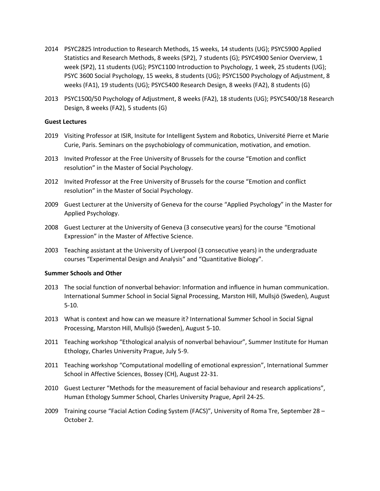- 2014 PSYC2825 Introduction to Research Methods, 15 weeks, 14 students (UG); PSYC5900 Applied Statistics and Research Methods, 8 weeks (SP2), 7 students (G); PSYC4900 Senior Overview, 1 week (SP2), 11 students (UG); PSYC1100 Introduction to Psychology, 1 week, 25 students (UG); PSYC 3600 Social Psychology, 15 weeks, 8 students (UG); PSYC1500 Psychology of Adjustment, 8 weeks (FA1), 19 students (UG); PSYC5400 Research Design, 8 weeks (FA2), 8 students (G)
- 2013 PSYC1500/50 Psychology of Adjustment, 8 weeks (FA2), 18 students (UG); PSYC5400/18 Research Design, 8 weeks (FA2), 5 students (G)

# **Guest Lectures**

- 2019 Visiting Professor at ISIR, Insitute for Intelligent System and Robotics, Université Pierre et Marie Curie, Paris. Seminars on the psychobiology of communication, motivation, and emotion.
- 2013 Invited Professor at the Free University of Brussels for the course "Emotion and conflict resolution" in the Master of Social Psychology.
- 2012 Invited Professor at the Free University of Brussels for the course "Emotion and conflict resolution" in the Master of Social Psychology.
- 2009 Guest Lecturer at the University of Geneva for the course "Applied Psychology" in the Master for Applied Psychology.
- 2008 Guest Lecturer at the University of Geneva (3 consecutive years) for the course "Emotional Expression" in the Master of Affective Science.
- 2003 Teaching assistant at the University of Liverpool (3 consecutive years) in the undergraduate courses "Experimental Design and Analysis" and "Quantitative Biology".

# **Summer Schools and Other**

- 2013 The social function of nonverbal behavior: Information and influence in human communication. International Summer School in Social Signal Processing, Marston Hill, Mullsjö (Sweden), August 5-10.
- 2013 What is context and how can we measure it? International Summer School in Social Signal Processing, Marston Hill, Mullsjö (Sweden), August 5-10.
- 2011 Teaching workshop "Ethological analysis of nonverbal behaviour", Summer Institute for Human Ethology, Charles University Prague, July 5-9.
- 2011 Teaching workshop "Computational modelling of emotional expression", International Summer School in Affective Sciences, Bossey (CH), August 22-31.
- 2010 Guest Lecturer "Methods for the measurement of facial behaviour and research applications", Human Ethology Summer School, Charles University Prague, April 24-25.
- 2009 Training course "Facial Action Coding System (FACS)", University of Roma Tre, September 28 October 2.